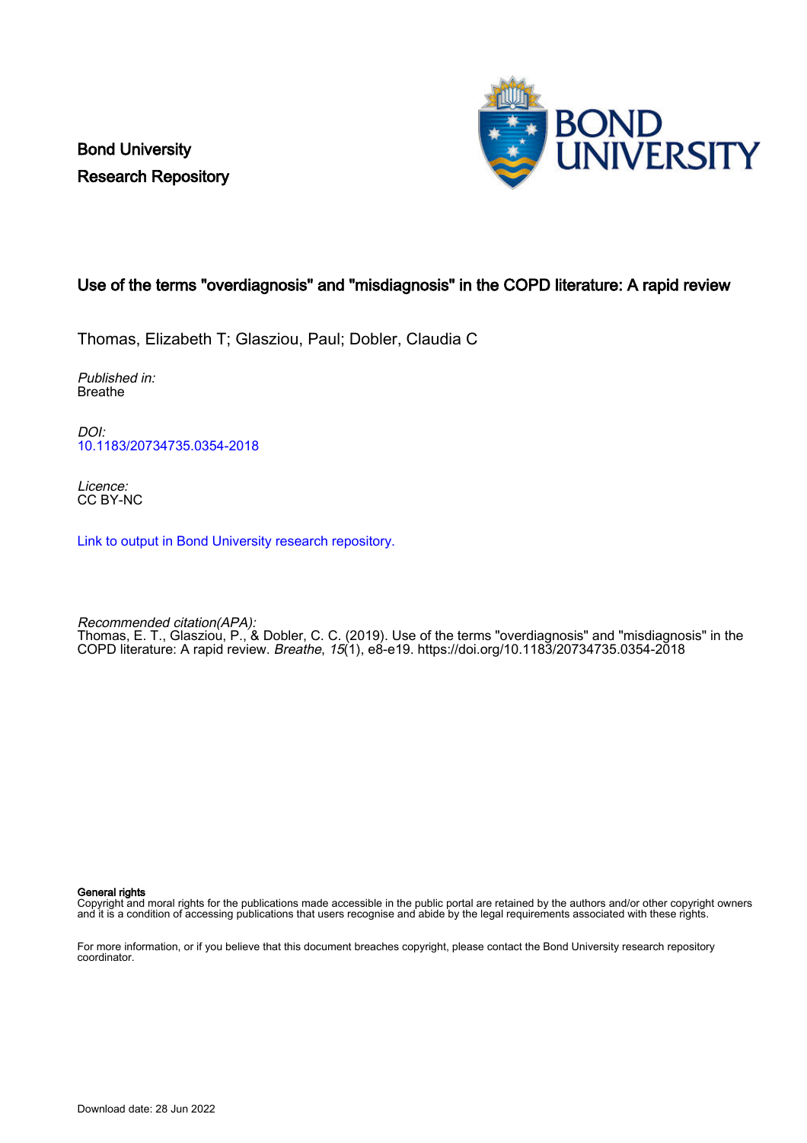Bond University Research Repository



# Use of the terms "overdiagnosis" and "misdiagnosis" in the COPD literature: A rapid review

Thomas, Elizabeth T; Glasziou, Paul; Dobler, Claudia C

Published in: Breathe

DOI: [10.1183/20734735.0354-2018](https://doi.org/10.1183/20734735.0354-2018)

Licence: CC BY-NC

[Link to output in Bond University research repository.](https://research.bond.edu.au/en/publications/6f451def-76b2-45c4-924e-5ce7b3c5b8ee)

Recommended citation(APA): Thomas, E. T., Glasziou, P., & Dobler, C. C. (2019). Use of the terms "overdiagnosis" and "misdiagnosis" in the COPD literature: A rapid review. Breathe, 15(1), e8-e19.<https://doi.org/10.1183/20734735.0354-2018>

General rights

Copyright and moral rights for the publications made accessible in the public portal are retained by the authors and/or other copyright owners and it is a condition of accessing publications that users recognise and abide by the legal requirements associated with these rights.

For more information, or if you believe that this document breaches copyright, please contact the Bond University research repository coordinator.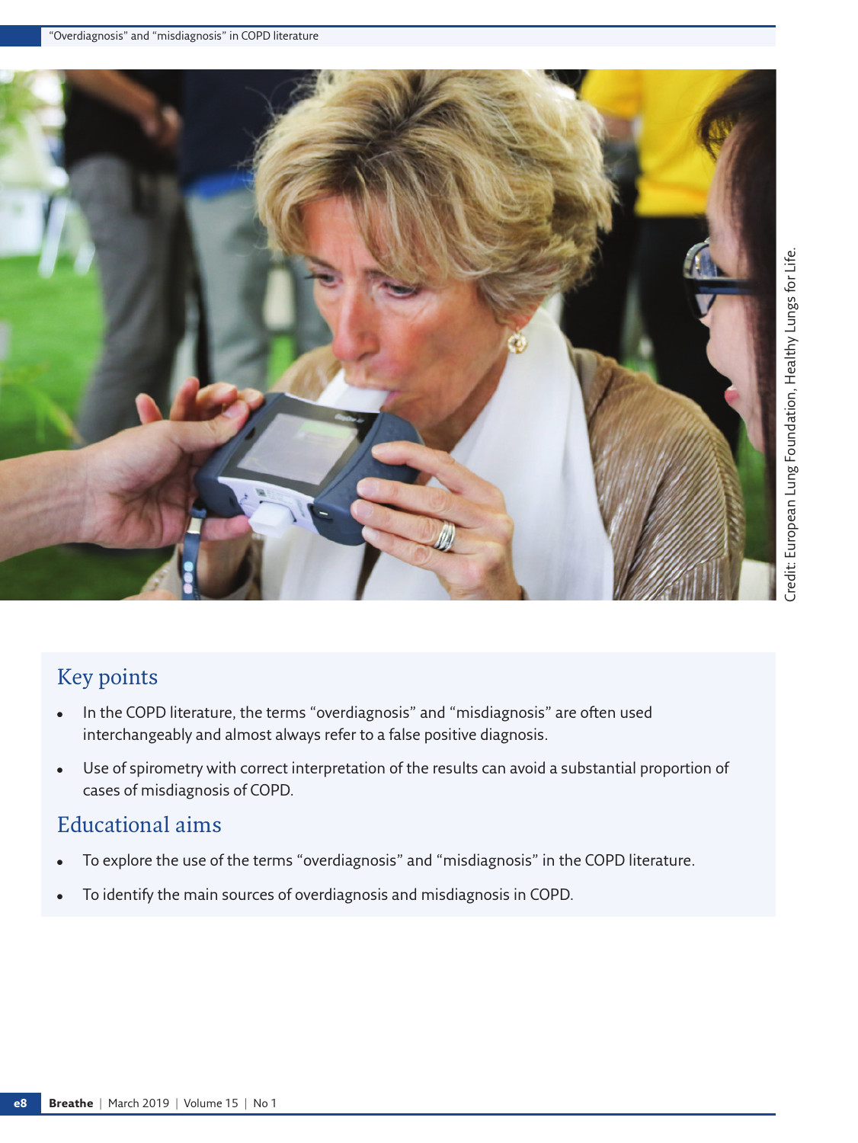

# Key points

- In the COPD literature, the terms "overdiagnosis" and "misdiagnosis" are often used interchangeably and almost always refer to a false positive diagnosis.
- Use of spirometry with correct interpretation of the results can avoid a substantial proportion of cases of misdiagnosis of COPD.

# Educational aims

- To explore the use of the terms "overdiagnosis" and "misdiagnosis" in the COPD literature.
- To identify the main sources of overdiagnosis and misdiagnosis in COPD.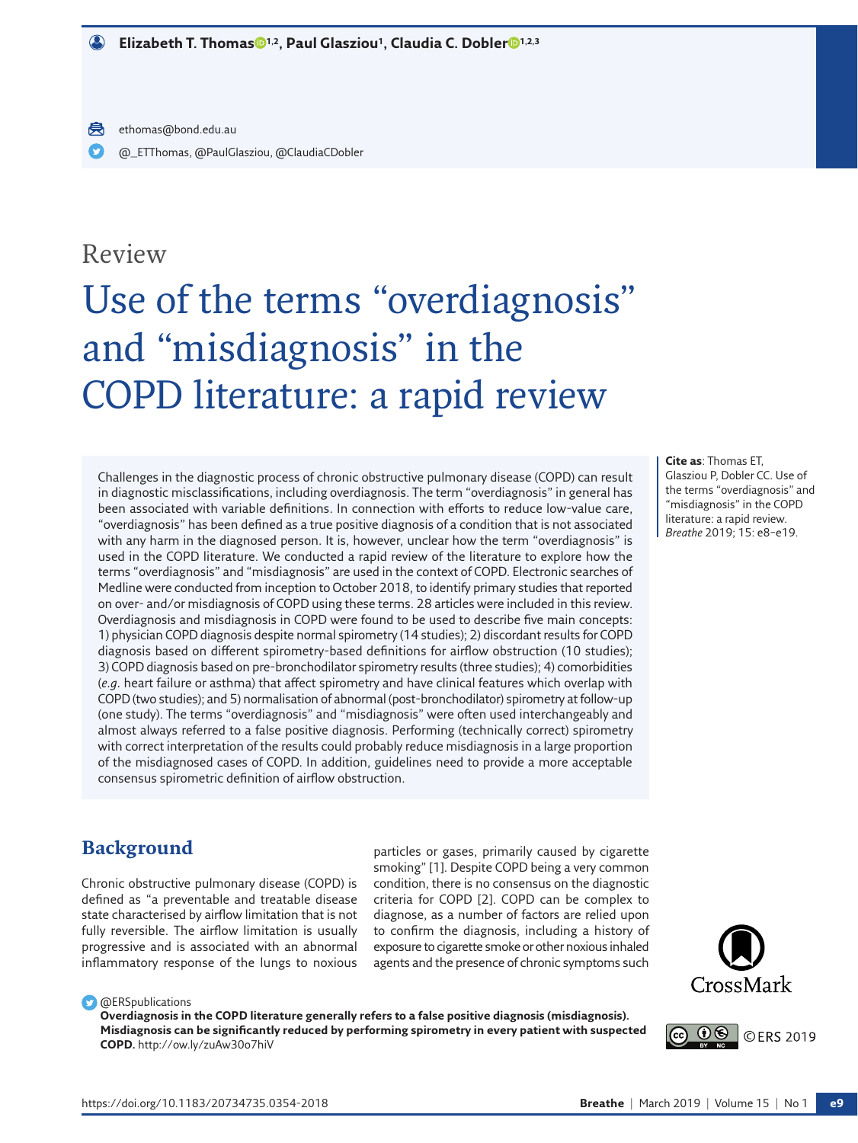# Review

# Use of the terms "overdiagnosis" and "misdiagnosis" in the COPD literature: a rapid review

Challenges in the diagnostic process of chronic obstructive pulmonary disease (COPD) can result in diagnostic misclassifications, including overdiagnosis. The term "overdiagnosis" in general has been associated with variable definitions. In connection with efforts to reduce low-value care, "overdiagnosis" has been defined as a true positive diagnosis of a condition that is not associated with any harm in the diagnosed person. It is, however, unclear how the term "overdiagnosis" is used in the COPD literature. We conducted a rapid review of the literature to explore how the terms "overdiagnosis" and "misdiagnosis" are used in the context of COPD. Electronic searches of Medline were conducted from inception to October 2018, to identify primary studies that reported on over- and/or misdiagnosis of COPD using these terms. 28 articles were included in this review. Overdiagnosis and misdiagnosis in COPD were found to be used to describe five main concepts: 1) physician COPD diagnosis despite normal spirometry (14 studies); 2) discordant results for COPD diagnosis based on different spirometry-based definitions for airflow obstruction (10 studies); 3) COPD diagnosis based on pre-bronchodilator spirometry results (three studies); 4) comorbidities (*e.g.* heart failure or asthma) that affect spirometry and have clinical features which overlap with COPD (two studies); and 5) normalisation of abnormal (post-bronchodilator) spirometry at follow-up (one study). The terms "overdiagnosis" and "misdiagnosis" were often used interchangeably and almost always referred to a false positive diagnosis. Performing (technically correct) spirometry with correct interpretation of the results could probably reduce misdiagnosis in a large proportion of the misdiagnosed cases of COPD. In addition, guidelines need to provide a more acceptable consensus spirometric definition of airflow obstruction.

**Cite as**: Thomas ET, Glasziou P, Dobler CC. Use of the terms "overdiagnosis" and "misdiagnosis" in the COPD literature: a rapid review. *Breathe* 2019; 15: e8–e19.

# **Background**

Chronic obstructive pulmonary disease (COPD) is defined as "a preventable and treatable disease state characterised by airflow limitation that is not fully reversible. The airflow limitation is usually progressive and is associated with an abnormal inflammatory response of the lungs to noxious

particles or gases, primarily caused by cigarette smoking" [1]. Despite COPD being a very common condition, there is no consensus on the diagnostic criteria for COPD [2]. COPD can be complex to diagnose, as a number of factors are relied upon to confirm the diagnosis, including a history of exposure to cigarette smoke or other noxious inhaled agents and the presence of chronic symptoms such



#### **C** @ERSpublications

**Overdiagnosis in the COPD literature generally refers to a false positive diagnosis (misdiagnosis). Misdiagnosis can be significantly reduced by performing spirometry in every patient with suspected COPD.**<http://ow.ly/zuAw30o7hiV>

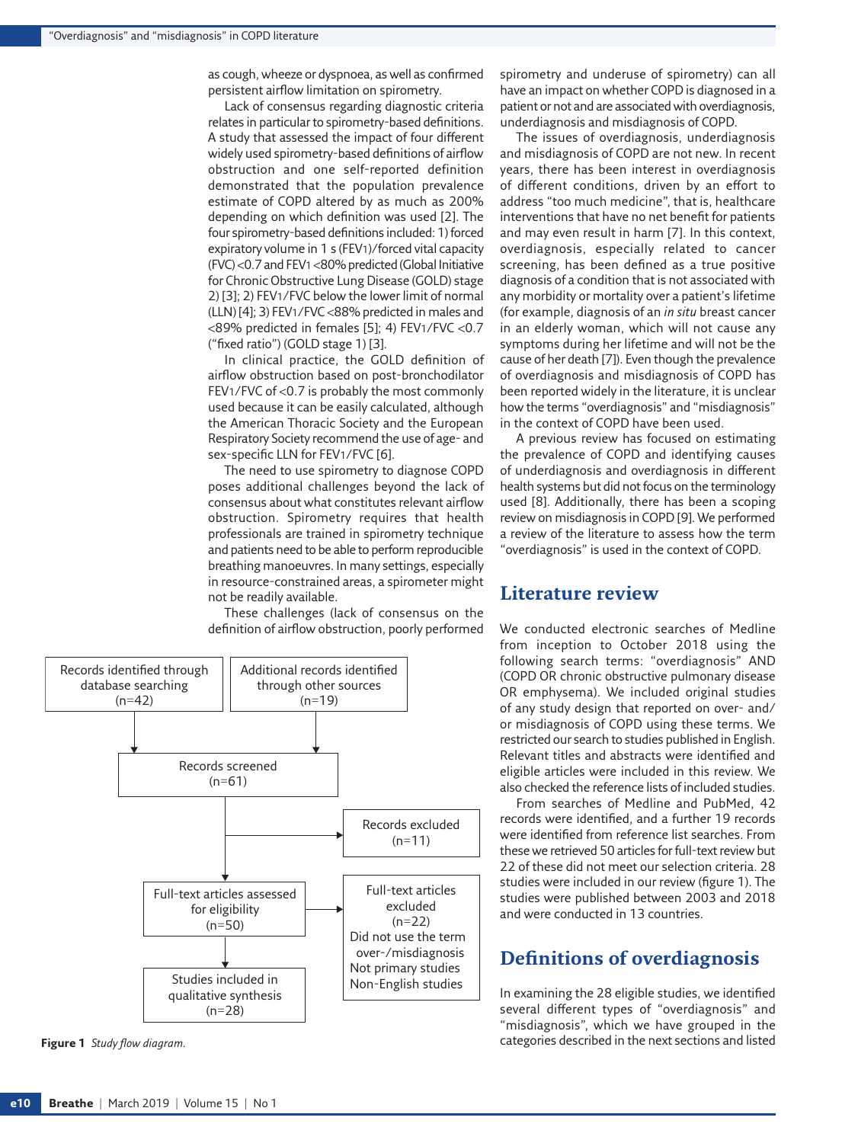as cough, wheeze or dyspnoea, as well as confirmed persistent airflow limitation on spirometry.

Lack of consensus regarding diagnostic criteria relates in particular to spirometry-based definitions. A study that assessed the impact of four different widely used spirometry-based definitions of airflow obstruction and one self-reported definition demonstrated that the population prevalence estimate of COPD altered by as much as 200% depending on which definition was used [2]. The four spirometry-based definitions included: 1) forced expiratory volume in 1 s (FEV1)/forced vital capacity (FVC) <0.7 and FEV1 <80% predicted (Global Initiative for Chronic Obstructive Lung Disease (GOLD) stage 2) [3]; 2) FEV1/FVC below the lower limit of normal (LLN) [4]; 3) FEV1/FVC <88% predicted in males and <89% predicted in females [5]; 4) FEV1/FVC <0.7 ("fixed ratio") (GOLD stage 1) [3].

In clinical practice, the GOLD definition of airflow obstruction based on post-bronchodilator FEV1/FVC of <0.7 is probably the most commonly used because it can be easily calculated, although the American Thoracic Society and the European Respiratory Society recommend the use of age- and sex-specific LLN for FEV1/FVC [6].

The need to use spirometry to diagnose COPD poses additional challenges beyond the lack of consensus about what constitutes relevant airflow obstruction. Spirometry requires that health professionals are trained in spirometry technique and patients need to be able to perform reproducible breathing manoeuvres. In many settings, especially in resource-constrained areas, a spirometer might not be readily available.

These challenges (lack of consensus on the definition of airflow obstruction, poorly performed



<span id="page-3-0"></span>**Figure 1** *Study flow diagram.*

spirometry and underuse of spirometry) can all have an impact on whether COPD is diagnosed in a patient or not and are associated with overdiagnosis, underdiagnosis and misdiagnosis of COPD.

The issues of overdiagnosis, underdiagnosis and misdiagnosis of COPD are not new. In recent years, there has been interest in overdiagnosis of different conditions, driven by an effort to address "too much medicine", that is, healthcare interventions that have no net benefit for patients and may even result in harm [7]. In this context, overdiagnosis, especially related to cancer screening, has been defined as a true positive diagnosis of a condition that is not associated with any morbidity or mortality over a patient's lifetime (for example, diagnosis of an *in situ* breast cancer in an elderly woman, which will not cause any symptoms during her lifetime and will not be the cause of her death [7]). Even though the prevalence of overdiagnosis and misdiagnosis of COPD has been reported widely in the literature, it is unclear how the terms "overdiagnosis" and "misdiagnosis" in the context of COPD have been used.

A previous review has focused on estimating the prevalence of COPD and identifying causes of underdiagnosis and overdiagnosis in different health systems but did not focus on the terminology used [8]. Additionally, there has been a scoping review on misdiagnosis in COPD [9]. We performed a review of the literature to assess how the term "overdiagnosis" is used in the context of COPD.

# **Literature review**

We conducted electronic searches of Medline from inception to October 2018 using the following search terms: "overdiagnosis" AND (COPD OR chronic obstructive pulmonary disease OR emphysema). We included original studies of any study design that reported on over- and/ or misdiagnosis of COPD using these terms. We restricted our search to studies published in English. Relevant titles and abstracts were identified and eligible articles were included in this review. We also checked the reference lists of included studies.

From searches of Medline and PubMed, 42 records were identified, and a further 19 records were identified from reference list searches. From these we retrieved 50 articles for full-text review but 22 of these did not meet our selection criteria. 28 studies were included in our review ([figure 1](#page-3-0)). The studies were published between 2003 and 2018 and were conducted in 13 countries.

## **Definitions of overdiagnosis**

In examining the 28 eligible studies, we identified several different types of "overdiagnosis" and "misdiagnosis", which we have grouped in the categories described in the next sections and listed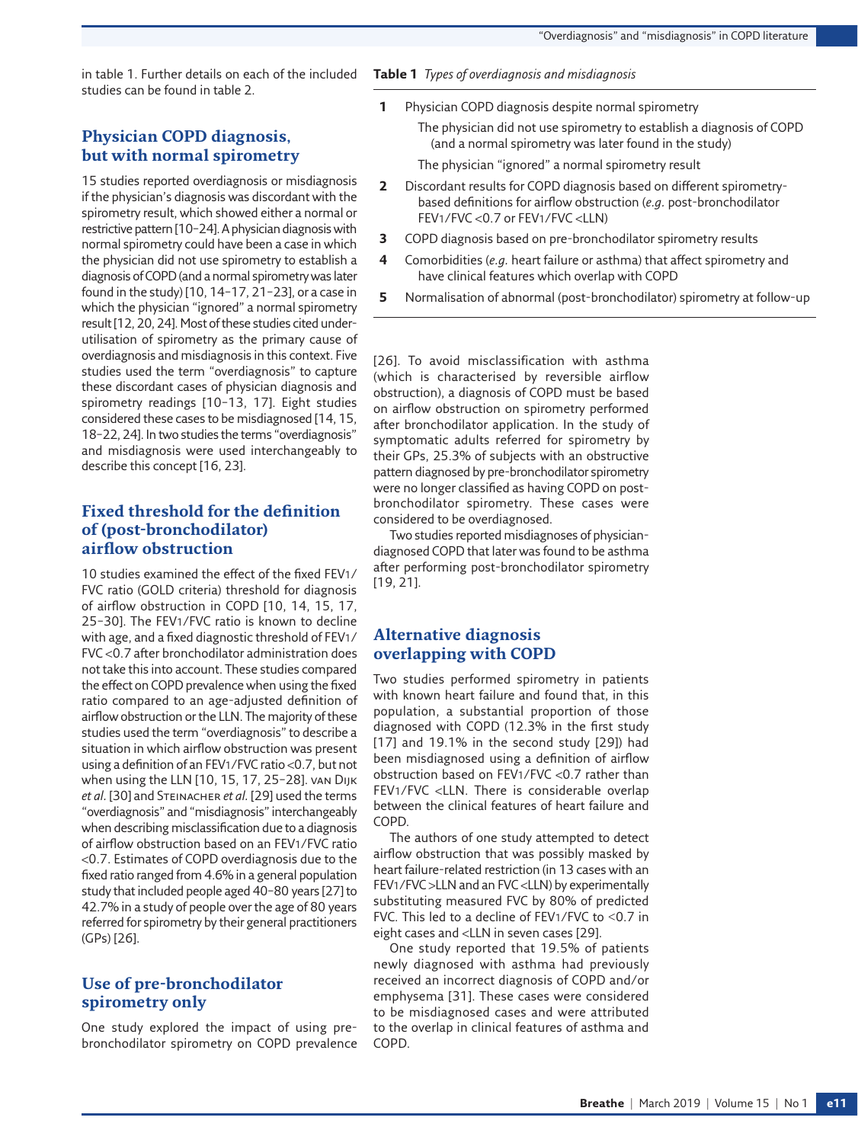in [table 1](#page-4-0). Further details on each of the included studies can be found in table 2.

## **Physician COPD diagnosis, but with normal spirometry**

15 studies reported overdiagnosis or misdiagnosis if the physician's diagnosis was discordant with the spirometry result, which showed either a normal or restrictive pattern [10–24]. A physician diagnosis with normal spirometry could have been a case in which the physician did not use spirometry to establish a diagnosis of COPD (and a normal spirometry was later found in the study) [10, 14–17, 21–23], or a case in which the physician "ignored" a normal spirometry result [12, 20, 24]. Most of these studies cited underutilisation of spirometry as the primary cause of overdiagnosis and misdiagnosis in this context. Five studies used the term "overdiagnosis" to capture these discordant cases of physician diagnosis and spirometry readings [10–13, 17]. Eight studies considered these cases to be misdiagnosed [14, 15, 18–22, 24]. In two studies the terms "overdiagnosis" and misdiagnosis were used interchangeably to describe this concept [16, 23].

## **Fixed threshold for the definition of (post-bronchodilator) airflow obstruction**

10 studies examined the effect of the fixed FEV1/ FVC ratio (GOLD criteria) threshold for diagnosis of airflow obstruction in COPD [10, 14, 15, 17, 25–30]. The FEV1/FVC ratio is known to decline with age, and a fixed diagnostic threshold of FEV1/ FVC <0.7 after bronchodilator administration does not take this into account. These studies compared the effect on COPD prevalence when using the fixed ratio compared to an age-adjusted definition of airflow obstruction or the LLN. The majority of these studies used the term "overdiagnosis" to describe a situation in which airflow obstruction was present using a definition of an FEV1/FVC ratio <0.7, but not when using the LLN [10, 15, 17, 25–28]. van Dijk *et al.* [30] and Steinacher *et al.* [29] used the terms "overdiagnosis" and "misdiagnosis" interchangeably when describing misclassification due to a diagnosis of airflow obstruction based on an FEV1/FVC ratio <0.7. Estimates of COPD overdiagnosis due to the fixed ratio ranged from 4.6% in a general population study that included people aged 40–80 years [27] to 42.7% in a study of people over the age of 80 years referred for spirometry by their general practitioners (GPs) [26].

#### **Use of pre-bronchodilator spirometry only**

One study explored the impact of using prebronchodilator spirometry on COPD prevalence

#### <span id="page-4-0"></span>**Table 1** *Types of overdiagnosis and misdiagnosis*

**1** Physician COPD diagnosis despite normal spirometry

The physician did not use spirometry to establish a diagnosis of COPD (and a normal spirometry was later found in the study)

The physician "ignored" a normal spirometry result

- **2** Discordant results for COPD diagnosis based on different spirometrybased definitions for airflow obstruction (*e.g.* post-bronchodilator FEV1/FVC <0.7 or FEV1/FVC <LLN)
- **3** COPD diagnosis based on pre-bronchodilator spirometry results
- **4** Comorbidities (*e.g.* heart failure or asthma) that affect spirometry and have clinical features which overlap with COPD
- **5** Normalisation of abnormal (post-bronchodilator) spirometry at follow-up

[26]. To avoid misclassification with asthma (which is characterised by reversible airflow obstruction), a diagnosis of COPD must be based on airflow obstruction on spirometry performed after bronchodilator application. In the study of symptomatic adults referred for spirometry by their GPs, 25.3% of subjects with an obstructive pattern diagnosed by pre-bronchodilator spirometry were no longer classified as having COPD on postbronchodilator spirometry. These cases were considered to be overdiagnosed.

Two studies reported misdiagnoses of physiciandiagnosed COPD that later was found to be asthma after performing post-bronchodilator spirometry [19, 21].

#### **Alternative diagnosis overlapping with COPD**

Two studies performed spirometry in patients with known heart failure and found that, in this population, a substantial proportion of those diagnosed with COPD (12.3% in the first study [17] and 19.1% in the second study [29]) had been misdiagnosed using a definition of airflow obstruction based on FEV1/FVC <0.7 rather than FEV1/FVC <LLN. There is considerable overlap between the clinical features of heart failure and COPD.

The authors of one study attempted to detect airflow obstruction that was possibly masked by heart failure-related restriction (in 13 cases with an FEV1/FVC >LLN and an FVC <LLN) by experimentally substituting measured FVC by 80% of predicted FVC. This led to a decline of FEV1/FVC to <0.7 in eight cases and <LLN in seven cases [29].

One study reported that 19.5% of patients newly diagnosed with asthma had previously received an incorrect diagnosis of COPD and/or emphysema [31]. These cases were considered to be misdiagnosed cases and were attributed to the overlap in clinical features of asthma and COPD.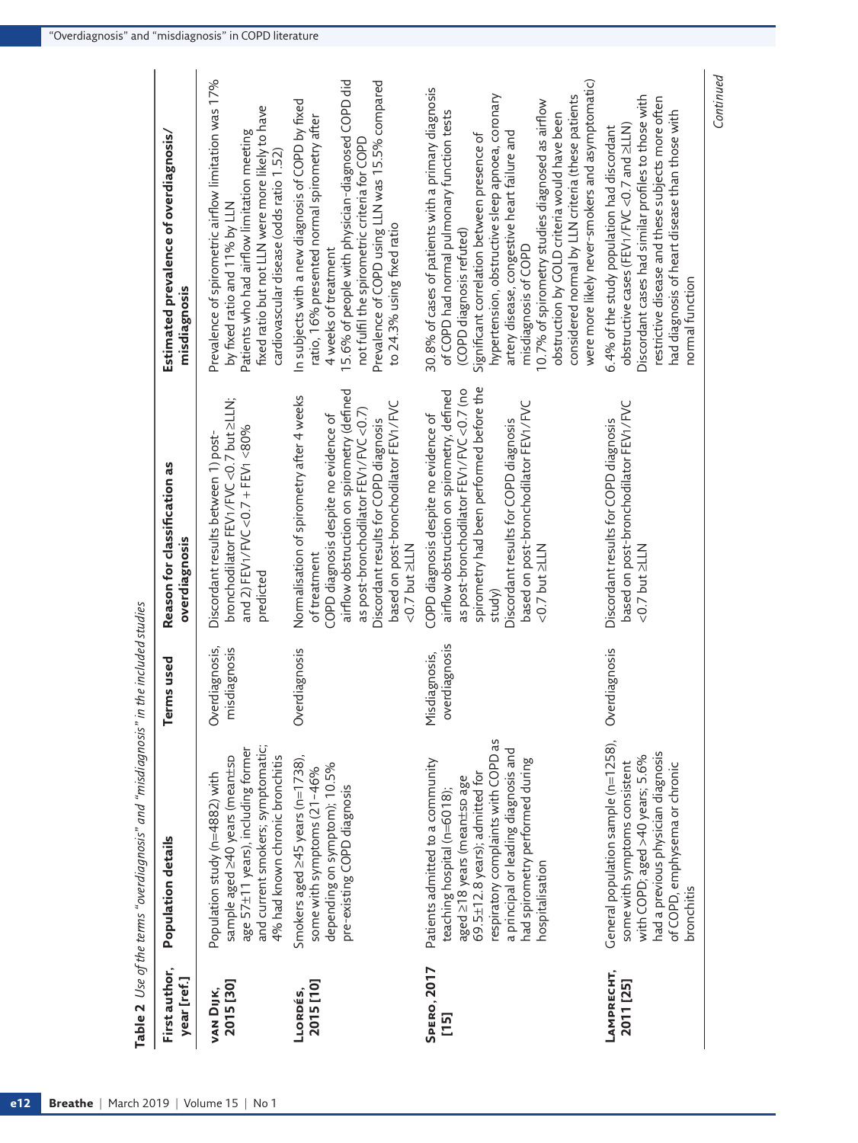|                               | ${\sf Table~2}$ . Use of the terms "overdiagnosis" and "misdiagnosis" in the included studies                                                                                                                                                                         |                                    |                                                                                                                                                                                                                                                                                                      |                                                                                                                                                                                                                                                                                                                                                                                                                                                                                                                        |
|-------------------------------|-----------------------------------------------------------------------------------------------------------------------------------------------------------------------------------------------------------------------------------------------------------------------|------------------------------------|------------------------------------------------------------------------------------------------------------------------------------------------------------------------------------------------------------------------------------------------------------------------------------------------------|------------------------------------------------------------------------------------------------------------------------------------------------------------------------------------------------------------------------------------------------------------------------------------------------------------------------------------------------------------------------------------------------------------------------------------------------------------------------------------------------------------------------|
| First author,<br>year [ref.]  | <b>Population details</b>                                                                                                                                                                                                                                             | <b>Terms</b> used                  | Reason for classification as<br>overdiagnosis                                                                                                                                                                                                                                                        | Estimated prevalence of overdiagnosis/<br>misdiagnosis                                                                                                                                                                                                                                                                                                                                                                                                                                                                 |
| 2015 [30]<br><b>VAN DIJK,</b> | and current smokers; symptomatic;<br>age 57±11 years), including former<br>sample aged 240 years (mean±sp<br>4% had known chronic bronchitis<br>Population study (n=4882) with                                                                                        | Overdiagnosis,<br>isdiagnosis<br>E | bronchodilator FEV1/FVC <0.7 but ≥LLN;<br>and 2) FEV1/FVC <0.7 + FEV1 <80%<br>Discordant results between 1) post-<br>predicted                                                                                                                                                                       | Prevalence of spirometric airflow limitation was 17%<br>fixed ratio but not LLN were more likely to have<br>Patients who had airflow limitation meeting<br>cardiovascular disease (odds ratio 1.52)<br>by fixed ratio and 11% by LLN                                                                                                                                                                                                                                                                                   |
| 2015 [10]<br>LLORDÉS,         | Smokers aged $\geq$ 45 years (n=1738),<br>depending on symptom); 10.5%<br>some with symptoms (21-46%<br>pre-existing COPD diagnosis                                                                                                                                   | Overdiagnosis                      | airflow obstruction on spirometry (defined<br>Normalisation of spirometry after 4 weeks<br>based on post-bronchodilator FEV1/FVC<br>as post-bronchodilator FEV1/FVC <0.7)<br>COPD diagnosis despite no evidence of<br>Discordant results for COPD diagnosis<br>$<$ 0.7 but $\ge$ LLN<br>of treatment | 15.6% of people with physician-diagnosed COPD did<br>Prevalence of COPD using LLN was 15.5% compared<br>In subjects with a new diagnosis of COPD by fixed<br>ratio, 16% presented normal spirometry after<br>not fulfil the spirometric criteria for COPD<br>to 24.3% using fixed ratio<br>4 weeks of treatment                                                                                                                                                                                                        |
| <b>SPERO, 2017</b><br>[15]    | respiratory complaints with COPD as<br>a principal or leading diagnosis and<br>Patients admitted to a community<br>had spirometry performed during<br>69.5±12.8 years); admitted for<br>aged 218 years (mean±sp age<br>teaching hospital (n=6018);<br>hospitalisation | overdiagnosis<br>Misdiagnosis,     | spirometry had been performed before the<br>as post-bronchodilator FEV1/FVC <0.7 (no<br>airflow obstruction on spirometry, defined<br>based on post-bronchodilator FEV1/FVC<br>COPD diagnosis despite no evidence of<br>Discordant results for COPD diagnosis<br>$<$ 0.7 but $\geq$ LLN<br>study)    | were more likely never-smokers and asymptomatic)<br>30.8% of cases of patients with a primary diagnosis<br>hypertension, obstructive sleep apnoea, coronary<br>considered normal by LLN criteria (these patients<br>10.7% of spirometry studies diagnosed as airflow<br>of COPD had normal pulmonary function tests<br>obstruction by GOLD criteria would have been<br>artery disease, congestive heart failure and<br>Significant correlation between presence of<br>(COPD diagnosis refuted)<br>misdiagnosis of COPD |
| LAMPRECHT,<br>2011 [25]       | General population sample (n=1258),<br>had a previous physician diagnosis<br>with COPD; aged >40 years; 5.6%<br>some with symptoms consistent<br>of COPD, emphysema or chronic<br>bronchitis                                                                          | Overdiagnosis                      | based on post-bronchodilator FEV1/FVC<br>Discordant results for COPD diagnosis<br>$<$ 0.7 but $\geq$ LLN                                                                                                                                                                                             | Discordant cases had similar profiles to those with<br>restrictive disease and these subjects more often<br>had diagnosis of heart disease than those with<br>obstructive cases (FEV1/FVC <0.7 and 2LLN)<br>6.4% of the study population had discordant<br>normal function                                                                                                                                                                                                                                             |

*Continued*

Continued

*Use of the terms "overdiagnosis" and "misdiagnosis" in the included studies*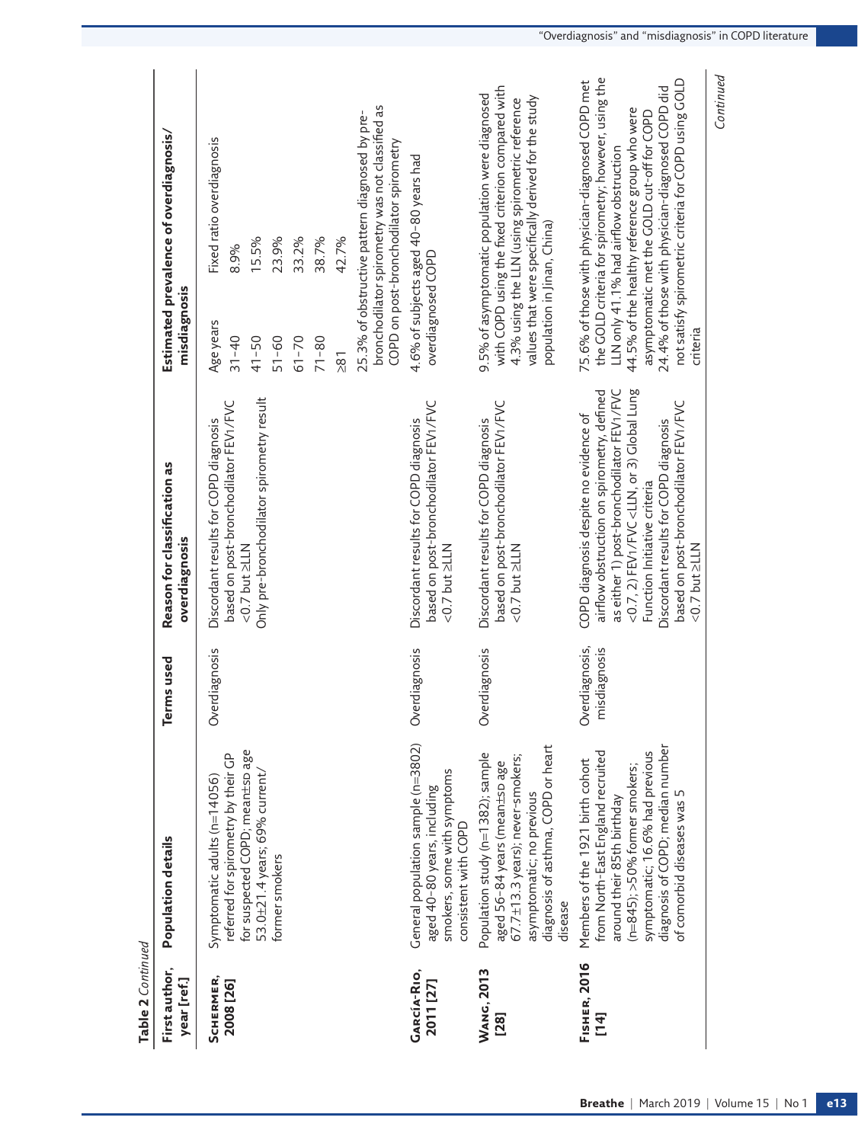| Table 2 Continued                                       |                                                                                                                                                                                                                                             |                                |                                                                                                                                                                                                                                                                                                                                                                            |                                                                                                                                                                                                                                                                                                                                                                           |  |
|---------------------------------------------------------|---------------------------------------------------------------------------------------------------------------------------------------------------------------------------------------------------------------------------------------------|--------------------------------|----------------------------------------------------------------------------------------------------------------------------------------------------------------------------------------------------------------------------------------------------------------------------------------------------------------------------------------------------------------------------|---------------------------------------------------------------------------------------------------------------------------------------------------------------------------------------------------------------------------------------------------------------------------------------------------------------------------------------------------------------------------|--|
| First author,<br>year [ref.]                            | <b>Population details</b>                                                                                                                                                                                                                   | Terms used                     | Reason for classification as<br>overdiagnosis                                                                                                                                                                                                                                                                                                                              | Estimated prevalence of overdiagnosis/<br>misdiagnosis                                                                                                                                                                                                                                                                                                                    |  |
| SCHERMER,<br>2008 [26]                                  | for suspected COPD; mean±sp age<br>referred for spirometry by their GP<br>Symptomatic adults ( $n=14056$ )                                                                                                                                  | Overdiagnosis                  | based on post-bronchodilator FEV1/FVC<br>Discordant results for COPD diagnosis<br>$<$ 0.7 but $\geq$ LLN                                                                                                                                                                                                                                                                   | Fixed ratio overdiagnosis<br>8.9%<br>Age years<br>$31 - 40$                                                                                                                                                                                                                                                                                                               |  |
|                                                         | 53.0±21.4 years; 69% current/                                                                                                                                                                                                               |                                | Only pre-bronchodilator spirometry result                                                                                                                                                                                                                                                                                                                                  | 15.5%<br>$41 - 50$                                                                                                                                                                                                                                                                                                                                                        |  |
|                                                         | former smokers                                                                                                                                                                                                                              |                                |                                                                                                                                                                                                                                                                                                                                                                            | 23.9%<br>33.2%<br>$51 - 60$<br>$61 - 70$                                                                                                                                                                                                                                                                                                                                  |  |
|                                                         |                                                                                                                                                                                                                                             |                                |                                                                                                                                                                                                                                                                                                                                                                            | 38.7%<br>$71 - 80$                                                                                                                                                                                                                                                                                                                                                        |  |
|                                                         |                                                                                                                                                                                                                                             |                                |                                                                                                                                                                                                                                                                                                                                                                            | 42.7%<br>$\overline{8}$                                                                                                                                                                                                                                                                                                                                                   |  |
|                                                         |                                                                                                                                                                                                                                             |                                |                                                                                                                                                                                                                                                                                                                                                                            | bronchodilator spirometry was not classified as<br>25.3% of obstructive pattern diagnosed by pre-<br>COPD on post-bronchodilator spirometry                                                                                                                                                                                                                               |  |
| <b>GARCÍA-RIO,</b><br>2011 [27]                         | General population sample (n=3802)<br>smokers, some with symptoms<br>aged 40-80 years, including<br>consistent with COPD                                                                                                                    | Overdiagnosis                  | based on post-bronchodilator FEV1/FVC<br>Discordant results for COPD diagnosis<br>$<$ 0.7 but $\geq$ LLN                                                                                                                                                                                                                                                                   | 4.6% of subjects aged 40-80 years had<br>overdiagnosed COPD                                                                                                                                                                                                                                                                                                               |  |
| <b>WANG, 2013</b><br>$\begin{bmatrix} 28 \end{bmatrix}$ | diagnosis of asthma, COPD or heart<br>Population study (n=1382); sample<br>$67.7 \pm 13.3$ years); never-smokers;<br>aged 56-84 years (mean±sp age<br>asymptomatic; no previous<br>disease                                                  | Overdiagnosis                  | based on post-bronchodilator FEV1/FVC<br>Discordant results for COPD diagnosis<br>$<$ 0.7 but $\geq$ LLN                                                                                                                                                                                                                                                                   | with COPD using the fixed criterion compared with<br>9.5% of asymptomatic population were diagnosed<br>values that were specifically derived for the study<br>4.3% using the LLN (using spirometric reference<br>population in Jinan, China)                                                                                                                              |  |
| <b>FISHER, 2016</b><br>$\overline{14}$                  | diagnosis of COPD; median number<br>symptomatic; 16.6% had previous<br>from North-East England recruited<br>Members of the 1921 birth cohort<br>$(n=845);$ >50% former smokers;<br>of comorbid diseases was 5<br>around their 85th birthday | Overdiagnosis,<br>misdiagnosis | as either 1) post-bronchodilator FEV1/FVC<br><0.7, 2) FEV1/FVC <lln, 3)="" global="" lung<br="" or="">airflow obstruction on spirometry, defined<br/>based on post-bronchodilator FEV1/FVC<br/>COPD diagnosis despite no evidence of<br/>Discordant results for COPD diagnosis<br/>Function Initiative criteria<br/><math>&lt;</math> 0.7 but <math>\geq</math> LLN</lln,> | the GOLD criteria for spirometry; however, using the<br>not satisfy spirometric criteria for COPD using GOLD<br>75.6% of those with physician-diagnosed COPD met<br>24.4% of those with physician-diagnosed COPD did<br>44.5% of the healthy reference group who were<br>asymptomatic met the GOLD cut-off for COPD<br>LLN only 41.1% had airflow obstruction<br>criteria |  |
|                                                         |                                                                                                                                                                                                                                             |                                |                                                                                                                                                                                                                                                                                                                                                                            | Continued                                                                                                                                                                                                                                                                                                                                                                 |  |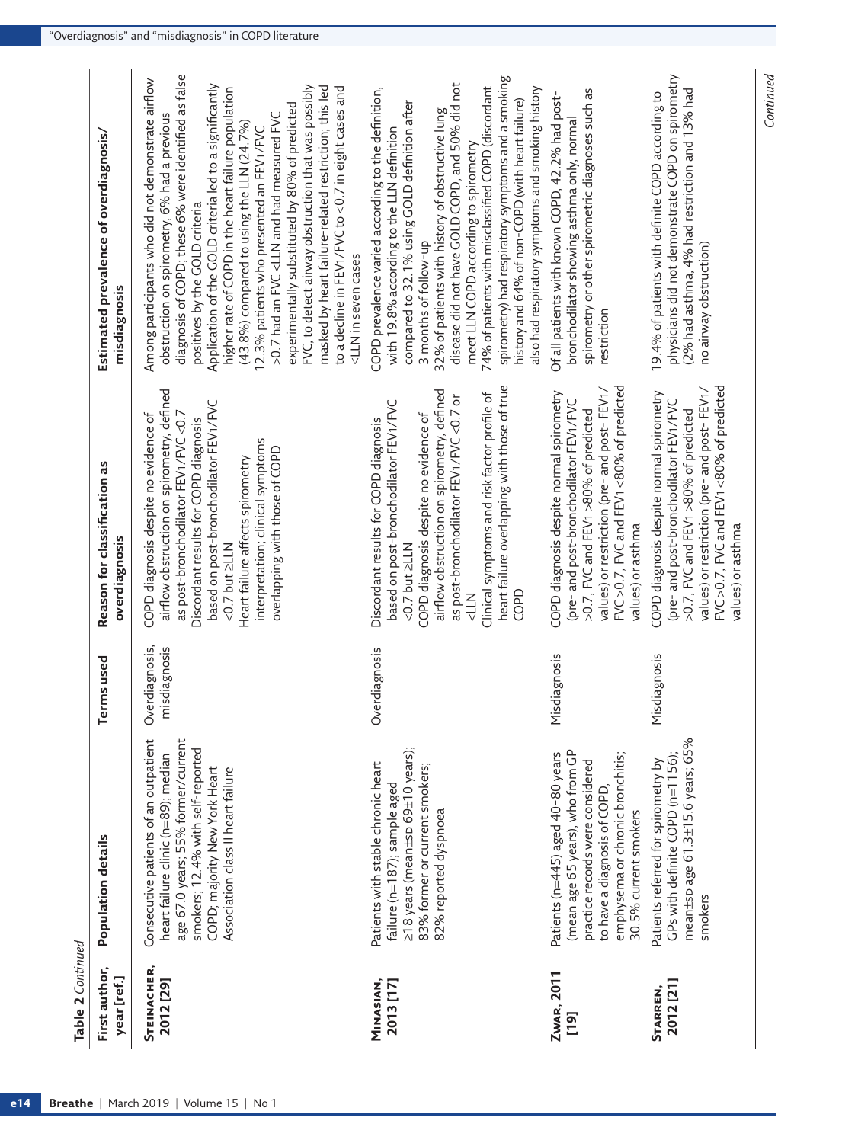| Table 2 Continued               |                                                                                                                                                                                                                                |                                    |                                                                                                                                                                                                                                                                                                                                                          |                                                                                                                                                                                                                                                                                                                                                                                                                                                                                                                                                                                                                                                                                                                                                                 |
|---------------------------------|--------------------------------------------------------------------------------------------------------------------------------------------------------------------------------------------------------------------------------|------------------------------------|----------------------------------------------------------------------------------------------------------------------------------------------------------------------------------------------------------------------------------------------------------------------------------------------------------------------------------------------------------|-----------------------------------------------------------------------------------------------------------------------------------------------------------------------------------------------------------------------------------------------------------------------------------------------------------------------------------------------------------------------------------------------------------------------------------------------------------------------------------------------------------------------------------------------------------------------------------------------------------------------------------------------------------------------------------------------------------------------------------------------------------------|
| First author,<br>year [ref.]    | <b>Population details</b>                                                                                                                                                                                                      | Terms used                         | Reason for classification as<br>overdiagnosis                                                                                                                                                                                                                                                                                                            | Estimated prevalence of overdiagnosis/<br>misdiagnosis                                                                                                                                                                                                                                                                                                                                                                                                                                                                                                                                                                                                                                                                                                          |
| <b>STEINACHER,</b><br>2012 [29] | age 67.0 years; 55% former/current<br>Consecutive patients of an outpatient<br>smokers; 12.4% with self-reported<br>heart failure clinic (n=89); median<br>COPD; majority New York Heart<br>Association class II heart failure | Overdiagnosis,<br>isdiagnosis<br>E | airflow obstruction on spirometry, defined<br>based on post-bronchodilator FEV1/FVC<br>as post-bronchodilator FEV1/FVC <0.7<br>COPD diagnosis despite no evidence of<br>Discordant results for COPD diagnosis<br>interpretation; clinical symptoms<br>overlapping with those of COPD<br>Heart failure affects spirometry<br>$<$ 0.7 but $\ge$ LLN        | diagnosis of COPD; these 6% were identified as false<br>Among participants who did not demonstrate airflow<br>Application of the GOLD criteria led to a significantly<br>FVC, to detect airway obstruction that was possibly<br>masked by heart failure-related restriction; this led<br>to a decline in FEV1/FVC to <0.7 in eight cases and<br>higher rate of COPD in the heart failure population<br>experimentally substituted by 80% of predicted<br>>0.7 had an FVC <lln and="" fvc<br="" had="" measured="">obstruction on spirometry, 6% had a previous<br/><math>(43.8\%)</math> compared to using the LLN (24.7%)<br/>12.3% patients who presented an FEV1/FVC<br/>positives by the GOLD criteria<br/><lln cases<="" in="" seven="" th=""></lln></lln> |
| MINASIAN,<br>2013 [17]          | ≥18 years (mean±sp 69±10 years);<br>Patients with stable chronic heart<br>83% former or current smokers;<br>failure (n=187); sample aged<br>82% reported dyspnoea                                                              | Overdiagnosis                      | heart failure overlapping with those of true<br>airflow obstruction on spirometry, defined<br>Clinical symptoms and risk factor profile of<br>as post-bronchodilator FEV1/FVC<0.7 or<br>based on post-bronchodilator FEV1/FVC<br>COPD diagnosis despite no evidence of<br>Discordant results for COPD diagnosis<br>$<$ 0.7 but $\geq$ LLN<br>COPD<br>NTP | spirometry) had respiratory symptoms and a smoking<br>disease did not have GOLD COPD, and 50% did not<br>74% of patients with misclassified COPD (discordant<br>also had respiratory symptoms and smoking history<br>COPD prevalence varied according to the definition,<br>history and 64% of non-COPD (with heart failure)<br>compared to 32.1% using GOLD definition after<br>32% of patients with history of obstructive lung<br>with 19.8% according to the LLN definition<br>meet LLN COPD according to spirometry<br>3 months of follow-up                                                                                                                                                                                                               |
| Zwar, 2011<br>[19]              | (mean age 65 years), who from GP<br>emphysema or chronic bronchitis;<br>Patients (n=445) aged 40-80 years<br>practice records were considered<br>to have a diagnosis of COPD<br>30.5% current smokers                          | Misdiagnosis                       | FVC > 0.7, FVC and FEV1<80% of predicted<br>values) or restriction (pre- and post- FEV1/<br>COPD diagnosis despite normal spirometry<br>(pre- and post-bronchodilator FEV1/FVC<br>>0.7, FVC and FEV1 >80% of predicted<br>values) or asthma                                                                                                              | spirometry or other spirometric diagnoses such as<br>Of all patients with known COPD, 42.2% had post-<br>bronchodilator showing asthma only, normal<br>restriction                                                                                                                                                                                                                                                                                                                                                                                                                                                                                                                                                                                              |
| 2012 [21]<br><b>STARREN,</b>    | mean±sp age 61.3±15.6 years; 65%<br>GPs with definite COPD (n=1156);<br>Patients referred for spirometry by<br>smokers                                                                                                         | Misdiagnosis                       | FVC > 0.7, FVC and FEV1<80% of predicted<br>values) or restriction (pre- and post- FEV1/<br>COPD diagnosis despite normal spirometry<br>(pre- and post-bronchodilator FEV1/FVC<br>>0.7, FVC and FEV1 >80% of predicted<br>values) or asthma                                                                                                              | physicians did not demonstrate COPD on spirometry<br>(2% had asthma, 4% had restriction and 13% had<br>19.4% of patients with definite COPD according to<br>no airway obstruction)                                                                                                                                                                                                                                                                                                                                                                                                                                                                                                                                                                              |

*Continued*

Continued

Table 2 Continued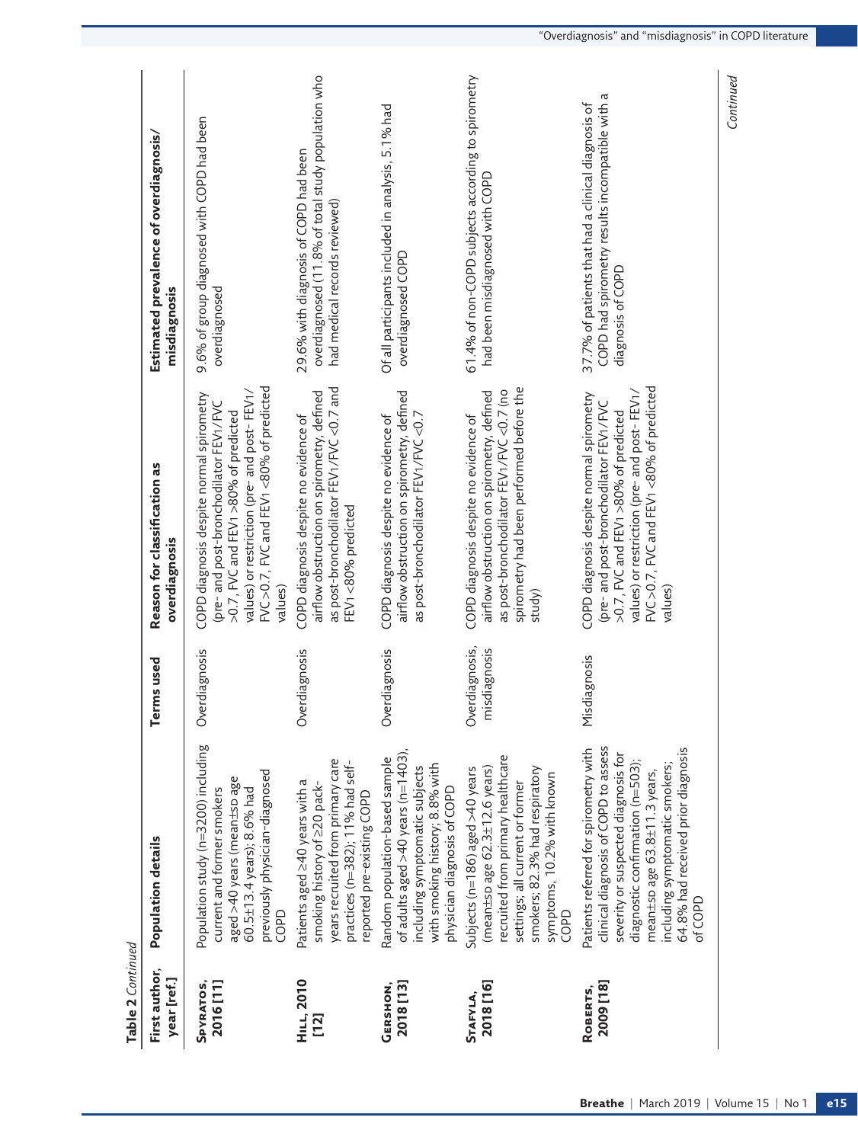| Table 2 Continued            |                                                                                                                                                                                                                                                                             |                                |                                                                                                                                                                                                                                     |                                                                                                                              |
|------------------------------|-----------------------------------------------------------------------------------------------------------------------------------------------------------------------------------------------------------------------------------------------------------------------------|--------------------------------|-------------------------------------------------------------------------------------------------------------------------------------------------------------------------------------------------------------------------------------|------------------------------------------------------------------------------------------------------------------------------|
| First author,<br>year [ref.] | Population details                                                                                                                                                                                                                                                          | Terms used                     | Reason for classification as<br>overdiagnosis                                                                                                                                                                                       | Estimated prevalence of overdiagnosis/<br>misdiagnosis                                                                       |
| 2016[11]<br>SPYRATOS,        | Population study (n=3200) including<br>previously physician-diagnosed<br>aged >40 years (mean±sp age<br>current and former smokers<br>60.5±13.4 years); 8.6% had<br>COPD                                                                                                    | erdiagnosis<br>රි              | FVC > 0.7, FVC and FEV1 < 80% of predicted<br>values) or restriction (pre- and post- FEV1/<br>COPD diagnosis despite normal spirometry<br>(pre- and post-bronchodilator FEV1/FVC<br>>0.7, FVC and FEV1 >80% of predicted<br>values) | 9.6% of group diagnosed with COPD had been<br>overdiagnosed                                                                  |
| <b>HILL, 2010</b><br>$[12]$  | years recruited from primary care<br>practices (n=382); 11% had self-<br>Patients aged 240 years with a<br>smoking history of 220 pack-<br>reported pre-existing COPD                                                                                                       | Overdiagnosis                  | as post-bronchodilator FEV1/FVC <0.7 and<br>airflow obstruction on spirometry, defined<br>COPD diagnosis despite no evidence of<br>FEV1<80% predicted                                                                               | overdiagnosed (11.8% of total study population who<br>29.6% with diagnosis of COPD had been<br>had medical records reviewed) |
| 2018 [13]<br><b>GERSHON,</b> | of adults aged >40 years (n=1403),<br>Random population-based sample<br>with smoking history; 8.8% with<br>including symptomatic subjects<br>physician diagnosis of COPD                                                                                                    | Overdiagnosis                  | airflow obstruction on spirometry, defined<br>COPD diagnosis despite no evidence of<br>as post-bronchodilator FEV1/FVC <0.7                                                                                                         | Of all participants included in analysis, 5.1% had<br>overdiagnosed COPD                                                     |
| 2018 [16]<br><b>STAFYLA.</b> | recruited from primary healthcare<br>(mean $\pm$ spage 62.3 $\pm$ 12.6 years)<br>smokers; 82.3% had respiratory<br>Subjects (n=186) aged >40 years<br>symptoms, 10.2% with known<br>settings; all current or former<br>GOPD                                                 | Overdiagnosis,<br>misdiagnosis | spirometry had been performed before the<br>airflow obstruction on spirometry, defined<br>as post-bronchodilator FEV1/FVC <0.7 (no<br>COPD diagnosis despite no evidence of<br>study)                                               | 61.4% of non-COPD subjects according to spirometry<br>had been misdiagnosed with COPD                                        |
| 2009 [18]<br>ROBERTS,        | clinical diagnosis of COPD to assess<br>64.8% had received prior diagnosis<br>Patients referred for spirometry with<br>severity or suspected diagnosis for<br>diagnostic confirmation (n=503);<br>including symptomatic smokers;<br>mean±sp age 63.8±11.3 years,<br>of COPD | Misdiagnosis                   | FVC >0.7, FVC and FEV1 <80% of predicted<br>values) or restriction (pre- and post- FEV1/<br>COPD diagnosis despite normal spirometry<br>(pre- and post-bronchodilator FEV1/FVC<br>>0.7, FVC and FEV1 >80% of predicted<br>values    | COPD had spirometry results incompatible with a<br>37.7% of patients that had a clinical diagnosis of<br>diagnosis of COPD   |
|                              |                                                                                                                                                                                                                                                                             |                                |                                                                                                                                                                                                                                     | Continued                                                                                                                    |

**Breathe** | March 2019 | Volume 15 | No 1 **e15**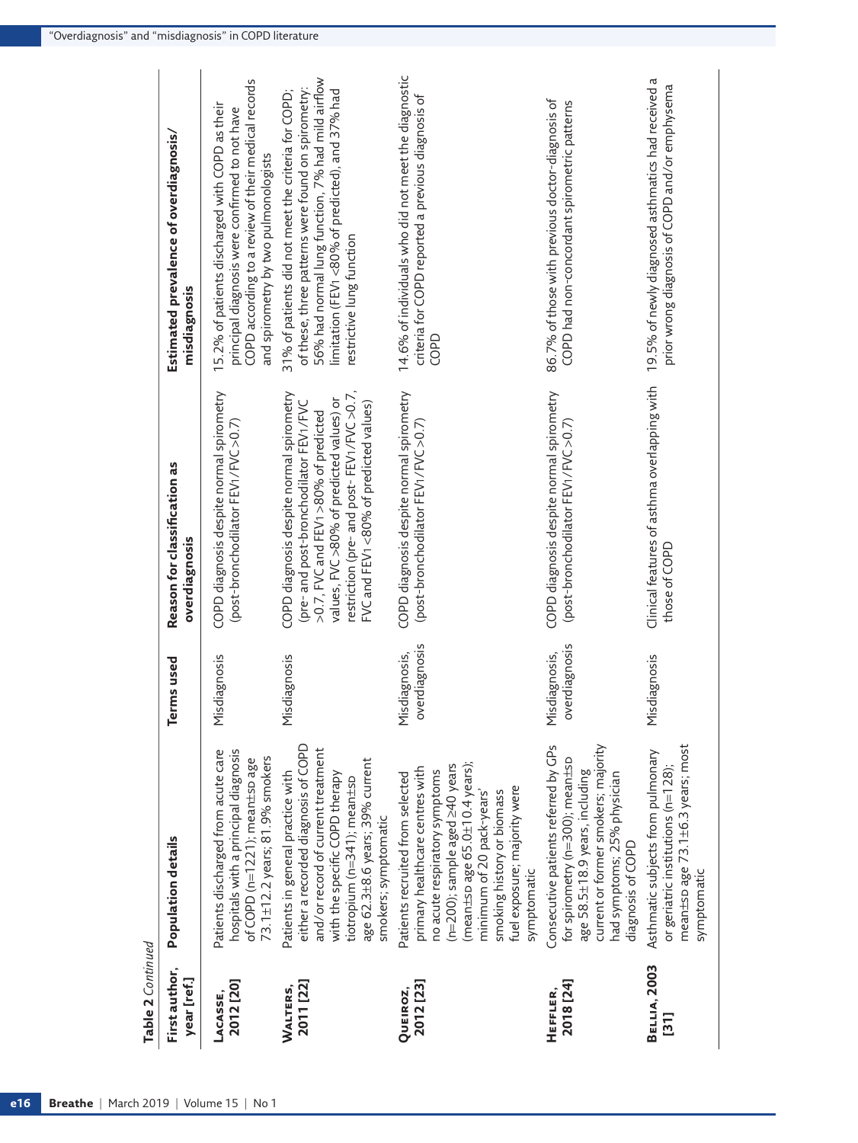| Table 2 Continued            |                                                                                                                                                                                                                                                                                                     |                                |                                                                                                                                                                                                                                                                |                                                                                                                                                                                                                                                |
|------------------------------|-----------------------------------------------------------------------------------------------------------------------------------------------------------------------------------------------------------------------------------------------------------------------------------------------------|--------------------------------|----------------------------------------------------------------------------------------------------------------------------------------------------------------------------------------------------------------------------------------------------------------|------------------------------------------------------------------------------------------------------------------------------------------------------------------------------------------------------------------------------------------------|
| First author,<br>year [ref.] | Population details                                                                                                                                                                                                                                                                                  | Terms used                     | Reason for classification as<br>overdiagnosis                                                                                                                                                                                                                  | Estimated prevalence of overdiagnosis/<br>misdiagnosis                                                                                                                                                                                         |
| 2012 [20]<br>LACASSE,        | hospitals with a principal diagnosis<br>Patients discharged from acute care<br>73.1±12.2 years; 81.9% smokers<br>of COPD (n=1221); mean±sp age                                                                                                                                                      | Misdiagnosis                   | COPD diagnosis despite normal spirometry<br>(post-bronchodilator FEV1/FVC >0.7)                                                                                                                                                                                | COPD according to a review of their medical records<br>15.2% of patients discharged with COPD as their<br>principal diagnosis were confirmed to not have<br>and spirometry by two pulmonologists                                               |
| 2011 [22]<br>Walters,        | either a recorded diagnosis of COPD<br>and/or record of current treatment<br>age 62.3±8.6 years; 39% current<br>Patients in general practice with<br>with the specific COPD therapy<br>tiotropium (n=341); mean±sp<br>smokers; symptomatic                                                          | Misdiagnosis                   | restriction (pre- and post- FEV1/FVC >0.7,<br>COPD diagnosis despite normal spirometry<br>values, FVC >80% of predicted values) or<br>FVC and FEV1 <80% of predicted values)<br>(pre- and post-bronchodilator FEV1/FVC<br>>0.7, FVC and FEV1 >80% of predicted | 56% had normal lung function, 7% had mild airflow<br>of these, three patterns were found on spirometry:<br>limitation (FEV1<80% of predicted), and 37% had<br>31% of patients did not meet the criteria for COPD;<br>restrictive lung function |
| 2012 [23]<br><b>QUEIROZ,</b> | (mean $\pm$ spage 65.0 $\pm$ 10.4 years);<br>(n=200); sample aged $\geq$ 40 years<br>primary healthcare centres with<br>no acute respiratory symptoms<br>Patients recruited from selected<br>fuel exposure; majority were<br>smoking history or biomass<br>minimum of 20 pack-years'<br>symptomatic | overdiagnosis<br>Misdiagnosis, | COPD diagnosis despite normal spirometry<br>(post-bronchodilator FEV1/FVC > 0.7)                                                                                                                                                                               | 14.6% of individuals who did not meet the diagnostic<br>criteria for COPD reported a previous diagnosis of<br>COPD                                                                                                                             |
| 2018 [24]<br>HEFFLER,        | current or former smokers; majority<br>Consecutive patients referred by GPs<br>for spirometry (n=300); mean±sp<br>age 58.5±18.9 years, including<br>had symptoms; 25% physician<br>diagnosis of COPD                                                                                                | overdiagnosis<br>Misdiagnosis, | COPD diagnosis despite normal spirometry<br>(post-bronchodilator FEV1/FVC > 0.7)                                                                                                                                                                               | 86.7% of those with previous doctor-diagnosis of<br>COPD had non-concordant spirometric patterns                                                                                                                                               |
| <b>BELLIA, 2003</b><br>[31]  | mean±sp age 73.1±6.3 years; most<br>Asthmatic subjects from pulmonary<br>or geriatric institutions ( $n=128$ );<br>symptomatic                                                                                                                                                                      | Misdiagnosis                   | Clinical features of asthma overlapping with<br>those of COPD                                                                                                                                                                                                  | 19.5% of newly diagnosed asthmatics had received a<br>prior wrong diagnosis of COPD and/or emphysema                                                                                                                                           |
|                              |                                                                                                                                                                                                                                                                                                     |                                |                                                                                                                                                                                                                                                                |                                                                                                                                                                                                                                                |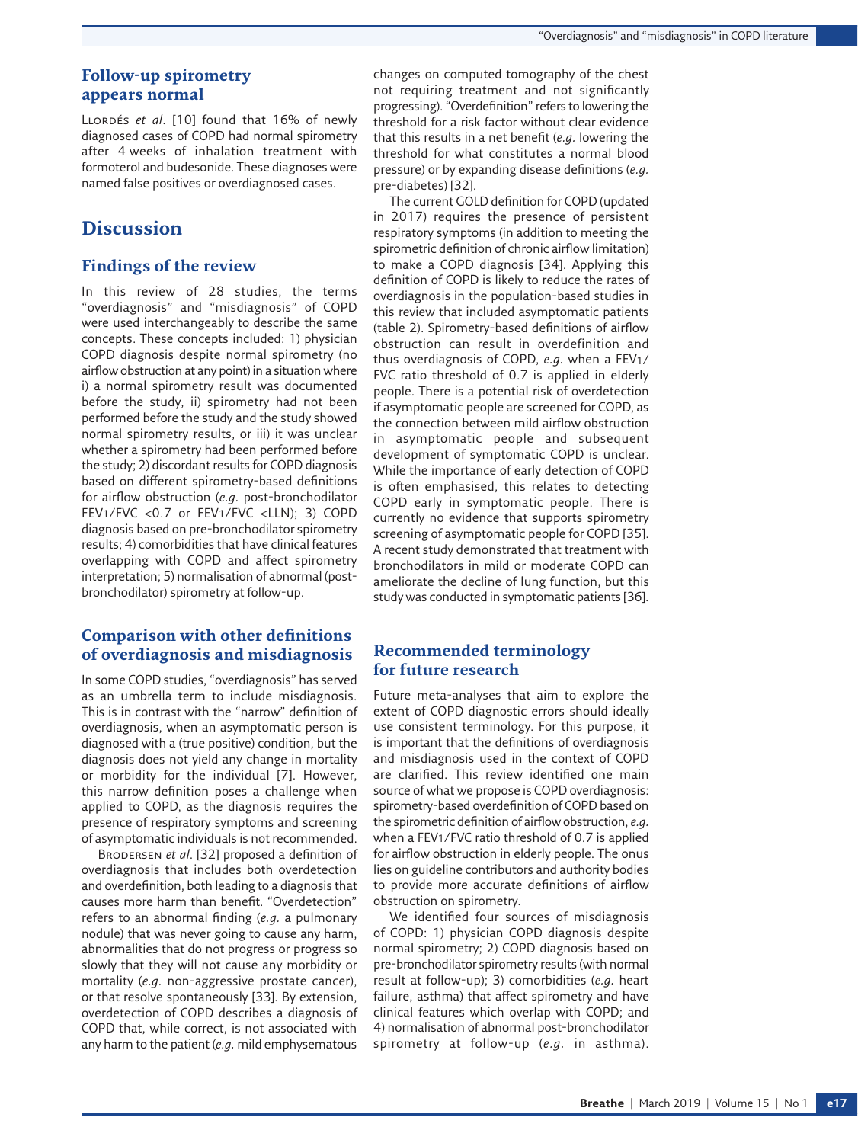## **Follow-up spirometry appears normal**

Llordés *et al*. [10] found that 16% of newly diagnosed cases of COPD had normal spirometry after 4 weeks of inhalation treatment with formoterol and budesonide. These diagnoses were named false positives or overdiagnosed cases.

# **Discussion**

#### **Findings of the review**

In this review of 28 studies, the terms "overdiagnosis" and "misdiagnosis" of COPD were used interchangeably to describe the same concepts. These concepts included: 1) physician COPD diagnosis despite normal spirometry (no airflow obstruction at any point) in a situation where i) a normal spirometry result was documented before the study, ii) spirometry had not been performed before the study and the study showed normal spirometry results, or iii) it was unclear whether a spirometry had been performed before the study; 2) discordant results for COPD diagnosis based on different spirometry-based definitions for airflow obstruction (*e.g.* post-bronchodilator FEV1/FVC <0.7 or FEV1/FVC <LLN); 3) COPD diagnosis based on pre-bronchodilator spirometry results; 4) comorbidities that have clinical features overlapping with COPD and affect spirometry interpretation; 5) normalisation of abnormal (postbronchodilator) spirometry at follow-up.

## **Comparison with other definitions of overdiagnosis and misdiagnosis**

In some COPD studies, "overdiagnosis" has served as an umbrella term to include misdiagnosis. This is in contrast with the "narrow" definition of overdiagnosis, when an asymptomatic person is diagnosed with a (true positive) condition, but the diagnosis does not yield any change in mortality or morbidity for the individual [7]. However, this narrow definition poses a challenge when applied to COPD, as the diagnosis requires the presence of respiratory symptoms and screening of asymptomatic individuals is not recommended.

Brodersen *et al*. [32] proposed a definition of overdiagnosis that includes both overdetection and overdefinition, both leading to a diagnosis that causes more harm than benefit. "Overdetection" refers to an abnormal finding (*e.g.* a pulmonary nodule) that was never going to cause any harm, abnormalities that do not progress or progress so slowly that they will not cause any morbidity or mortality (*e.g.* non-aggressive prostate cancer), or that resolve spontaneously [33]. By extension, overdetection of COPD describes a diagnosis of COPD that, while correct, is not associated with any harm to the patient (*e.g.* mild emphysematous

changes on computed tomography of the chest not requiring treatment and not significantly progressing). "Overdefinition" refers to lowering the threshold for a risk factor without clear evidence that this results in a net benefit (*e.g.* lowering the threshold for what constitutes a normal blood pressure) or by expanding disease definitions (*e.g.* pre-diabetes) [32].

The current GOLD definition for COPD (updated in 2017) requires the presence of persistent respiratory symptoms (in addition to meeting the spirometric definition of chronic airflow limitation) to make a COPD diagnosis [34]. Applying this definition of COPD is likely to reduce the rates of overdiagnosis in the population-based studies in this review that included asymptomatic patients (table 2). Spirometry-based definitions of airflow obstruction can result in overdefinition and thus overdiagnosis of COPD, *e.g.* when a FEV1/ FVC ratio threshold of 0.7 is applied in elderly people. There is a potential risk of overdetection if asymptomatic people are screened for COPD, as the connection between mild airflow obstruction in asymptomatic people and subsequent development of symptomatic COPD is unclear. While the importance of early detection of COPD is often emphasised, this relates to detecting COPD early in symptomatic people. There is currently no evidence that supports spirometry screening of asymptomatic people for COPD [35]. A recent study demonstrated that treatment with bronchodilators in mild or moderate COPD can ameliorate the decline of lung function, but this study was conducted in symptomatic patients [36].

#### **Recommended terminology for future research**

Future meta-analyses that aim to explore the extent of COPD diagnostic errors should ideally use consistent terminology. For this purpose, it is important that the definitions of overdiagnosis and misdiagnosis used in the context of COPD are clarified. This review identified one main source of what we propose is COPD overdiagnosis: spirometry-based overdefinition of COPD based on the spirometric definition of airflow obstruction, *e.g.* when a FEV1/FVC ratio threshold of 0.7 is applied for airflow obstruction in elderly people. The onus lies on guideline contributors and authority bodies to provide more accurate definitions of airflow obstruction on spirometry.

We identified four sources of misdiagnosis of COPD: 1) physician COPD diagnosis despite normal spirometry; 2) COPD diagnosis based on pre-bronchodilator spirometry results (with normal result at follow-up); 3) comorbidities (*e.g.* heart failure, asthma) that affect spirometry and have clinical features which overlap with COPD; and 4) normalisation of abnormal post-bronchodilator spirometry at follow-up (*e.g.* in asthma).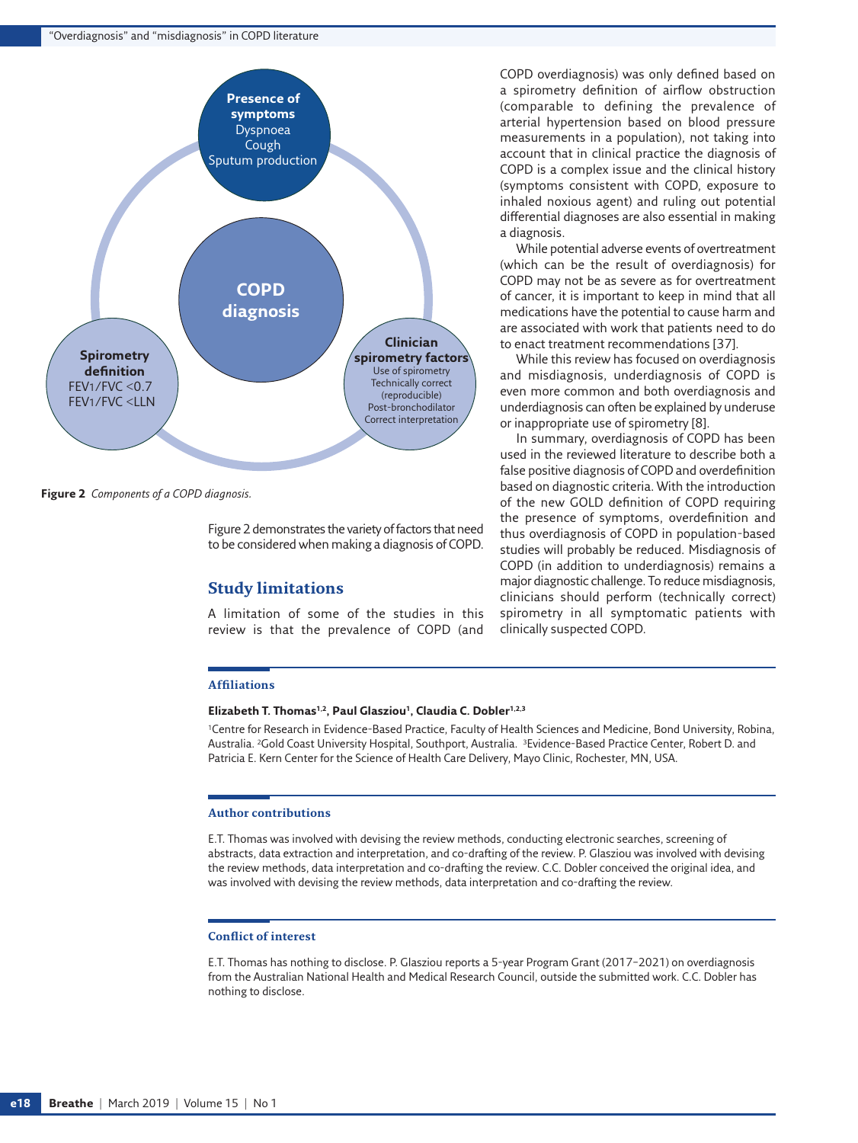#### "Overdiagnosis" and "misdiagnosis" in COPD literature



<span id="page-11-0"></span>**Figure 2** *Components of a COPD diagnosis.*

Figure 2 demonstrates the variety of factors that need to be considered when making a diagnosis of COPD.

#### **Study limitations**

A limitation of some of the studies in this review is that the prevalence of COPD (and

#### **Affiliations**

#### **Elizabeth T. Thomas1,2, Paul Glasziou1, Claudia C. Dobler1,2,3**

1Centre for Research in Evidence-Based Practice, Faculty of Health Sciences and Medicine, Bond University, Robina, Australia. 2Gold Coast University Hospital, Southport, Australia. 3Evidence-Based Practice Center, Robert D. and Patricia E. Kern Center for the Science of Health Care Delivery, Mayo Clinic, Rochester, MN, USA.

#### **Author contributions**

E.T. Thomas was involved with devising the review methods, conducting electronic searches, screening of abstracts, data extraction and interpretation, and co-drafting of the review. P. Glasziou was involved with devising the review methods, data interpretation and co-drafting the review. C.C. Dobler conceived the original idea, and was involved with devising the review methods, data interpretation and co-drafting the review.

#### **Conflict of interest**

E.T. Thomas has nothing to disclose. P. Glasziou reports a 5-year Program Grant (2017–2021) on overdiagnosis from the Australian National Health and Medical Research Council, outside the submitted work. C.C. Dobler has nothing to disclose.

COPD overdiagnosis) was only defined based on a spirometry definition of airflow obstruction (comparable to defining the prevalence of arterial hypertension based on blood pressure measurements in a population), not taking into account that in clinical practice the diagnosis of COPD is a complex issue and the clinical history (symptoms consistent with COPD, exposure to inhaled noxious agent) and ruling out potential differential diagnoses are also essential in making a diagnosis.

While potential adverse events of overtreatment (which can be the result of overdiagnosis) for COPD may not be as severe as for overtreatment of cancer, it is important to keep in mind that all medications have the potential to cause harm and are associated with work that patients need to do to enact treatment recommendations [37].

While this review has focused on overdiagnosis and misdiagnosis, underdiagnosis of COPD is even more common and both overdiagnosis and underdiagnosis can often be explained by underuse or inappropriate use of spirometry [8].

In summary, overdiagnosis of COPD has been used in the reviewed literature to describe both a false positive diagnosis of COPD and overdefinition based on diagnostic criteria. With the introduction of the new GOLD definition of COPD requiring the presence of symptoms, overdefinition and thus overdiagnosis of COPD in population-based studies will probably be reduced. Misdiagnosis of COPD (in addition to underdiagnosis) remains a major diagnostic challenge. To reduce misdiagnosis, clinicians should perform (technically correct) spirometry in all symptomatic patients with clinically suspected COPD.